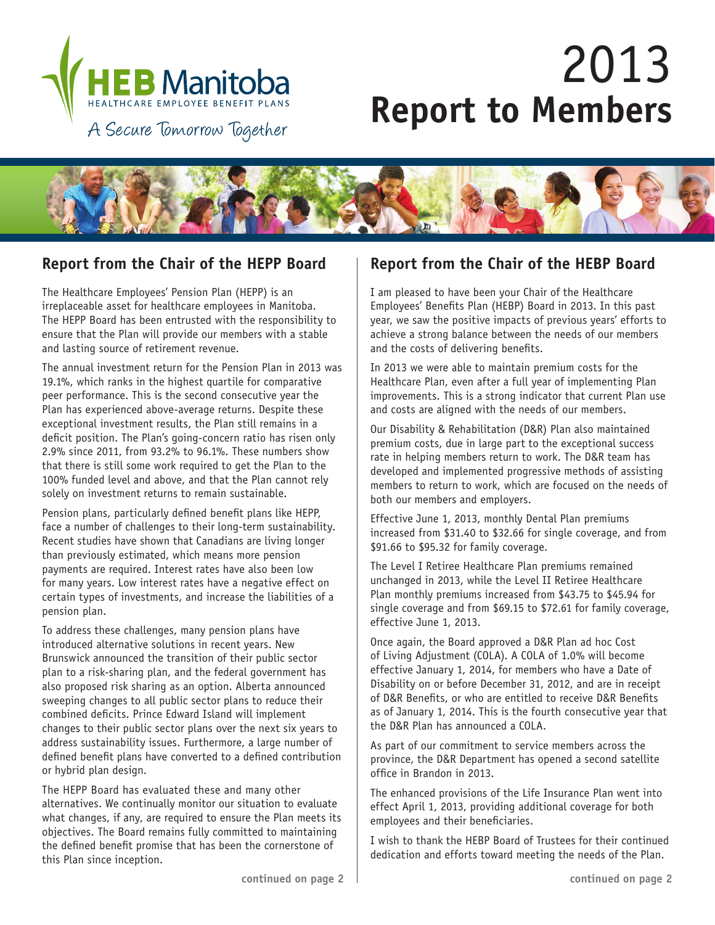

# 2013 **Report to Members**



The Healthcare Employees' Pension Plan (HEPP) is an irreplaceable asset for healthcare employees in Manitoba. The HEPP Board has been entrusted with the responsibility to ensure that the Plan will provide our members with a stable and lasting source of retirement revenue.

The annual investment return for the Pension Plan in 2013 was 19.1%, which ranks in the highest quartile for comparative peer performance. This is the second consecutive year the Plan has experienced above-average returns. Despite these exceptional investment results, the Plan still remains in a deficit position. The Plan's going-concern ratio has risen only 2.9% since 2011, from 93.2% to 96.1%. These numbers show that there is still some work required to get the Plan to the 100% funded level and above, and that the Plan cannot rely solely on investment returns to remain sustainable.

Pension plans, particularly defined benefit plans like HEPP, face a number of challenges to their long-term sustainability. Recent studies have shown that Canadians are living longer than previously estimated, which means more pension payments are required. Interest rates have also been low for many years. Low interest rates have a negative effect on certain types of investments, and increase the liabilities of a pension plan.

To address these challenges, many pension plans have introduced alternative solutions in recent years. New Brunswick announced the transition of their public sector plan to a risk-sharing plan, and the federal government has also proposed risk sharing as an option. Alberta announced sweeping changes to all public sector plans to reduce their combined deficits. Prince Edward Island will implement changes to their public sector plans over the next six years to address sustainability issues. Furthermore, a large number of defined benefit plans have converted to a defined contribution or hybrid plan design.

The HEPP Board has evaluated these and many other alternatives. We continually monitor our situation to evaluate what changes, if any, are required to ensure the Plan meets its objectives. The Board remains fully committed to maintaining the defined benefit promise that has been the cornerstone of this Plan since inception.

## **Report from the Chair of the HEPP Board Report from the Chair of the HEBP Board**

I am pleased to have been your Chair of the Healthcare Employees' Benefits Plan (HEBP) Board in 2013. In this past year, we saw the positive impacts of previous years' efforts to achieve a strong balance between the needs of our members and the costs of delivering benefits.

In 2013 we were able to maintain premium costs for the Healthcare Plan, even after a full year of implementing Plan improvements. This is a strong indicator that current Plan use and costs are aligned with the needs of our members.

Our Disability & Rehabilitation (D&R) Plan also maintained premium costs, due in large part to the exceptional success rate in helping members return to work. The D&R team has developed and implemented progressive methods of assisting members to return to work, which are focused on the needs of both our members and employers.

Effective June 1, 2013, monthly Dental Plan premiums increased from \$31.40 to \$32.66 for single coverage, and from \$91.66 to \$95.32 for family coverage.

The Level I Retiree Healthcare Plan premiums remained unchanged in 2013, while the Level II Retiree Healthcare Plan monthly premiums increased from \$43.75 to \$45.94 for single coverage and from \$69.15 to \$72.61 for family coverage, effective June 1, 2013.

Once again, the Board approved a D&R Plan ad hoc Cost of Living Adjustment (COLA). A COLA of 1.0% will become effective January 1, 2014, for members who have a Date of Disability on or before December 31, 2012, and are in receipt of D&R Benefits, or who are entitled to receive D&R Benefits as of January 1, 2014. This is the fourth consecutive year that the D&R Plan has announced a COLA.

As part of our commitment to service members across the province, the D&R Department has opened a second satellite office in Brandon in 2013.

The enhanced provisions of the Life Insurance Plan went into effect April 1, 2013, providing additional coverage for both employees and their beneficiaries.

I wish to thank the HEBP Board of Trustees for their continued dedication and efforts toward meeting the needs of the Plan.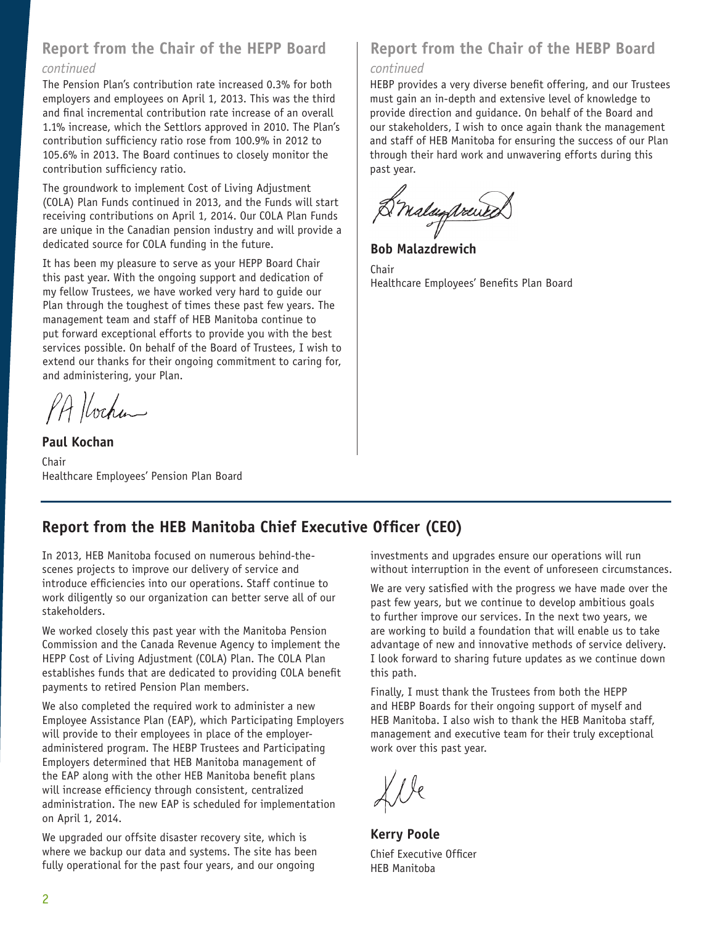# **Report from the Chair of the HEPP Board**

#### *continued*

The Pension Plan's contribution rate increased 0.3% for both employers and employees on April 1, 2013. This was the third and final incremental contribution rate increase of an overall 1.1% increase, which the Settlors approved in 2010. The Plan's contribution sufficiency ratio rose from 100.9% in 2012 to 105.6% in 2013. The Board continues to closely monitor the contribution sufficiency ratio.

The groundwork to implement Cost of Living Adjustment (COLA) Plan Funds continued in 2013, and the Funds will start receiving contributions on April 1, 2014. Our COLA Plan Funds are unique in the Canadian pension industry and will provide a dedicated source for COLA funding in the future.

It has been my pleasure to serve as your HEPP Board Chair this past year. With the ongoing support and dedication of my fellow Trustees, we have worked very hard to guide our Plan through the toughest of times these past few years. The management team and staff of HEB Manitoba continue to put forward exceptional efforts to provide you with the best services possible. On behalf of the Board of Trustees, I wish to extend our thanks for their ongoing commitment to caring for, and administering, your Plan.

PA Hochan

**Paul Kochan** Chair Healthcare Employees' Pension Plan Board

# **Report from the Chair of the HEBP Board**

#### *continued*

HEBP provides a very diverse benefit offering, and our Trustees must gain an in-depth and extensive level of knowledge to provide direction and guidance. On behalf of the Board and our stakeholders, I wish to once again thank the management and staff of HEB Manitoba for ensuring the success of our Plan through their hard work and unwavering efforts during this past year.

D'malagprent

**Bob Malazdrewich**

**Chair** Healthcare Employees' Benefits Plan Board

# **Report from the HEB Manitoba Chief Executive Officer (CEO)**

In 2013, HEB Manitoba focused on numerous behind-thescenes projects to improve our delivery of service and introduce efficiencies into our operations. Staff continue to work diligently so our organization can better serve all of our stakeholders.

We worked closely this past year with the Manitoba Pension Commission and the Canada Revenue Agency to implement the HEPP Cost of Living Adjustment (COLA) Plan. The COLA Plan establishes funds that are dedicated to providing COLA benefit payments to retired Pension Plan members.

We also completed the required work to administer a new Employee Assistance Plan (EAP), which Participating Employers will provide to their employees in place of the employeradministered program. The HEBP Trustees and Participating Employers determined that HEB Manitoba management of the EAP along with the other HEB Manitoba benefit plans will increase efficiency through consistent, centralized administration. The new EAP is scheduled for implementation on April 1, 2014.

We upgraded our offsite disaster recovery site, which is where we backup our data and systems. The site has been fully operational for the past four years, and our ongoing

investments and upgrades ensure our operations will run without interruption in the event of unforeseen circumstances.

We are very satisfied with the progress we have made over the past few years, but we continue to develop ambitious goals to further improve our services. In the next two years, we are working to build a foundation that will enable us to take advantage of new and innovative methods of service delivery. I look forward to sharing future updates as we continue down this path.

Finally, I must thank the Trustees from both the HEPP and HEBP Boards for their ongoing support of myself and HEB Manitoba. I also wish to thank the HEB Manitoba staff, management and executive team for their truly exceptional work over this past year.

**Kerry Poole** Chief Executive Officer HEB Manitoba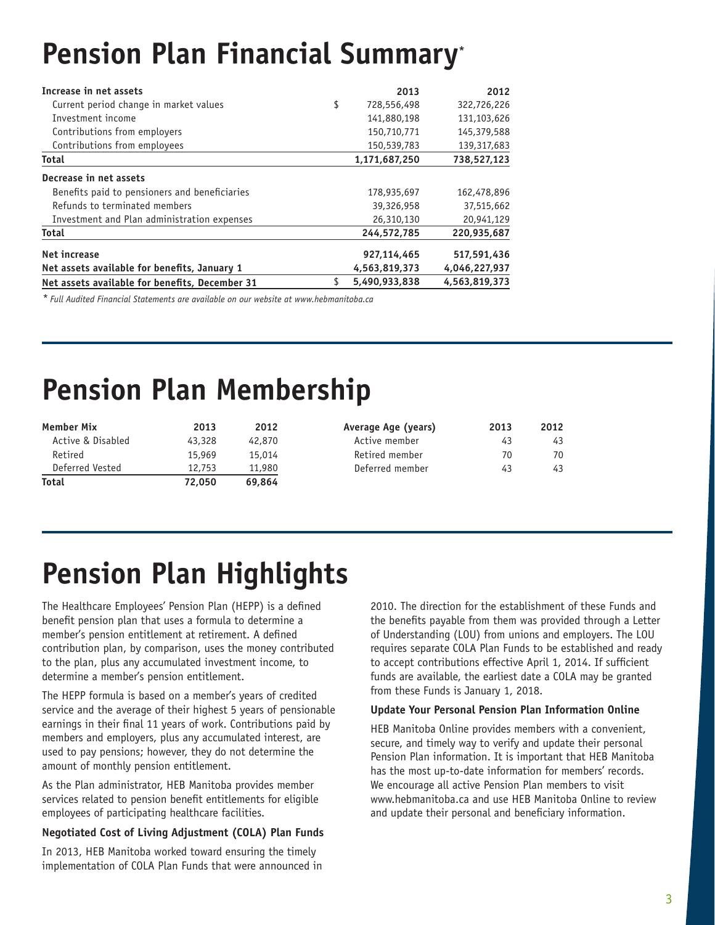# **Pension Plan Financial Summary\***

| Increase in net assets                         | 2013              | 2012          |
|------------------------------------------------|-------------------|---------------|
| Current period change in market values         | \$<br>728,556,498 | 322,726,226   |
| Investment income                              | 141,880,198       | 131,103,626   |
| Contributions from employers                   | 150,710,771       | 145,379,588   |
| Contributions from employees                   | 150,539,783       | 139, 317, 683 |
| <b>Total</b>                                   | 1,171,687,250     | 738,527,123   |
| Decrease in net assets                         |                   |               |
| Benefits paid to pensioners and beneficiaries  | 178,935,697       | 162,478,896   |
| Refunds to terminated members                  | 39,326,958        | 37,515,662    |
| Investment and Plan administration expenses    | 26,310,130        | 20,941,129    |
| <b>Total</b>                                   | 244.572.785       | 220,935,687   |
| <b>Net increase</b>                            | 927,114,465       | 517,591,436   |
| Net assets available for benefits, January 1   | 4,563,819,373     | 4,046,227,937 |
| Net assets available for benefits, December 31 | 5,490,933,838     | 4.563.819.373 |

*\* Full Audited Financial Statements are available on our website at www.hebmanitoba.ca*

# **Pension Plan Membership**

| <b>Member Mix</b> | 2013   | 2012   | Average Age (years) | 2013 | 2012 |
|-------------------|--------|--------|---------------------|------|------|
| Active & Disabled | 43,328 | 42,870 | Active member       | 43   | 43   |
| Retired           | 15,969 | 15.014 | Retired member      | 70   | 70   |
| Deferred Vested   | 12,753 | 11,980 | Deferred member     | 43   | 43   |
| <b>Total</b>      | 72.050 | 69.864 |                     |      |      |

# **Pension Plan Highlights**

The Healthcare Employees' Pension Plan (HEPP) is a defined benefit pension plan that uses a formula to determine a member's pension entitlement at retirement. A defined contribution plan, by comparison, uses the money contributed to the plan, plus any accumulated investment income, to determine a member's pension entitlement.

The HEPP formula is based on a member's years of credited service and the average of their highest 5 years of pensionable earnings in their final 11 years of work. Contributions paid by members and employers, plus any accumulated interest, are used to pay pensions; however, they do not determine the amount of monthly pension entitlement.

As the Plan administrator, HEB Manitoba provides member services related to pension benefit entitlements for eligible employees of participating healthcare facilities.

#### **Negotiated Cost of Living Adjustment (COLA) Plan Funds**

In 2013, HEB Manitoba worked toward ensuring the timely implementation of COLA Plan Funds that were announced in 2010. The direction for the establishment of these Funds and the benefits payable from them was provided through a Letter of Understanding (LOU) from unions and employers. The LOU requires separate COLA Plan Funds to be established and ready to accept contributions effective April 1, 2014. If sufficient funds are available, the earliest date a COLA may be granted from these Funds is January 1, 2018.

#### **Update Your Personal Pension Plan Information Online**

HEB Manitoba Online provides members with a convenient, secure, and timely way to verify and update their personal Pension Plan information. It is important that HEB Manitoba has the most up-to-date information for members' records. We encourage all active Pension Plan members to visit www.hebmanitoba.ca and use HEB Manitoba Online to review and update their personal and beneficiary information.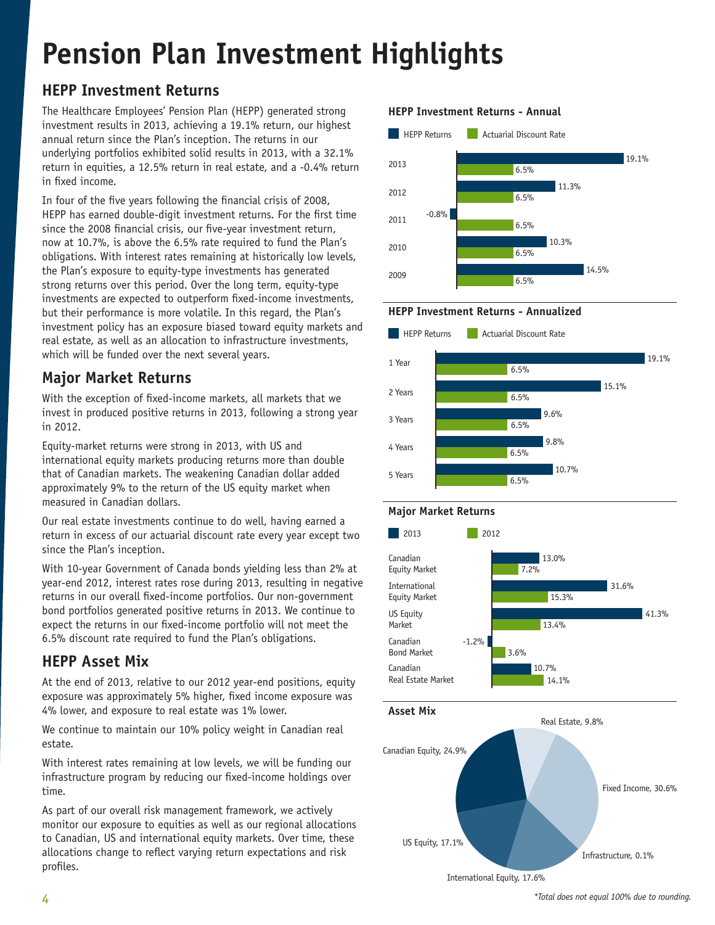# **Pension Plan Investment Highlights**

# **HEPP Investment Returns**

The Healthcare Employees' Pension Plan (HEPP) generated strong investment results in 2013, achieving a 19.1% return, our highest annual return since the Plan's inception. The returns in our underlying portfolios exhibited solid results in 2013, with a 32.1% return in equities, a 12.5% return in real estate, and a -0.4% return in fixed income.

In four of the five years following the financial crisis of 2008, HEPP has earned double-digit investment returns. For the first time since the 2008 financial crisis, our five-year investment return, now at 10.7%, is above the 6.5% rate required to fund the Plan's obligations. With interest rates remaining at historically low levels, the Plan's exposure to equity-type investments has generated strong returns over this period. Over the long term, equity-type investments are expected to outperform fixed-income investments, but their performance is more volatile. In this regard, the Plan's investment policy has an exposure biased toward equity markets and real estate, as well as an allocation to infrastructure investments, which will be funded over the next several years.

# **Major Market Returns**

With the exception of fixed-income markets, all markets that we invest in produced positive returns in 2013, following a strong year in 2012.

Equity-market returns were strong in 2013, with US and international equity markets producing returns more than double that of Canadian markets. The weakening Canadian dollar added approximately 9% to the return of the US equity market when measured in Canadian dollars.

Our real estate investments continue to do well, having earned a return in excess of our actuarial discount rate every year except two since the Plan's inception.

With 10-year Government of Canada bonds yielding less than 2% at year-end 2012, interest rates rose during 2013, resulting in negative returns in our overall fixed-income portfolios. Our non-government bond portfolios generated positive returns in 2013. We continue to expect the returns in our fixed-income portfolio will not meet the 6.5% discount rate required to fund the Plan's obligations.

## **HEPP Asset Mix**

At the end of 2013, relative to our 2012 year-end positions, equity exposure was approximately 5% higher, fixed income exposure was 4% lower, and exposure to real estate was 1% lower.

We continue to maintain our 10% policy weight in Canadian real estate.

With interest rates remaining at low levels, we will be funding our infrastructure program by reducing our fixed-income holdings over time.

As part of our overall risk management framework, we actively monitor our exposure to equities as well as our regional allocations to Canadian, US and international equity markets. Over time, these allocations change to reflect varying return expectations and risk profiles.

#### **HEPP Investment Returns - Annual**



#### **HEPP Investment Returns - Annualized**









International Equity, 17.6%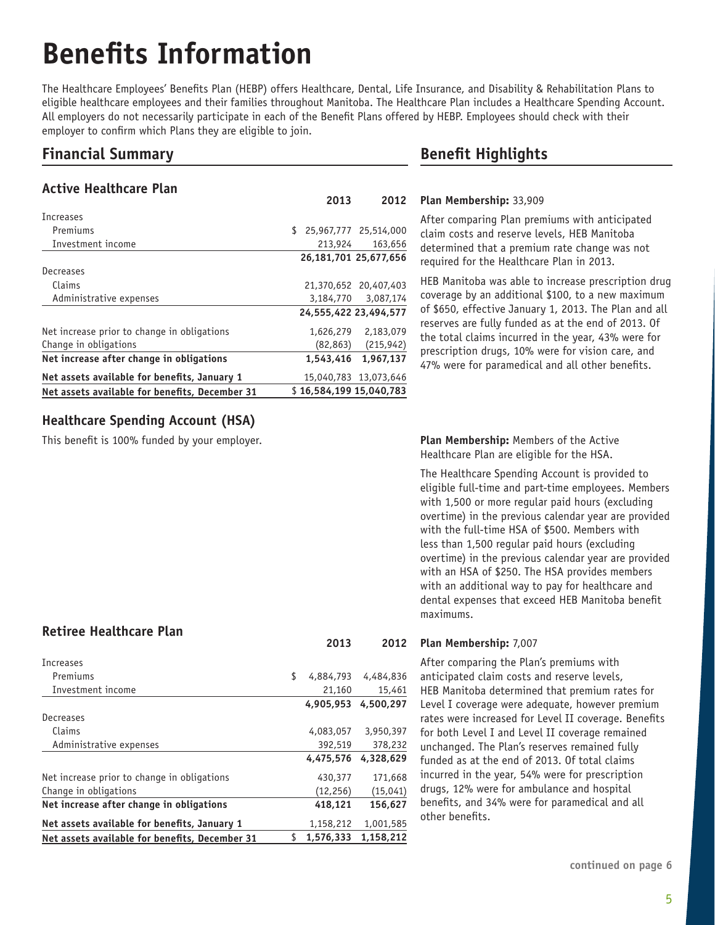# **Benefits Information**

The Healthcare Employees' Benefits Plan (HEBP) offers Healthcare, Dental, Life Insurance, and Disability & Rehabilitation Plans to eligible healthcare employees and their families throughout Manitoba. The Healthcare Plan includes a Healthcare Spending Account. All employers do not necessarily participate in each of the Benefit Plans offered by HEBP. Employees should check with their employer to confirm which Plans they are eligible to join.

## **Financial Summary**

#### **Active Healthcare Plan**

|                                                | 2013                    | 2012                  |
|------------------------------------------------|-------------------------|-----------------------|
| Increases                                      |                         |                       |
| Premiums                                       | \$                      | 25,967,777 25,514,000 |
| Investment income                              | 213,924                 | 163,656               |
|                                                |                         | 26,181,701 25,677,656 |
| Decreases                                      |                         |                       |
| Claims                                         |                         | 21,370,652 20,407,403 |
| Administrative expenses                        | 3,184,770               | 3,087,174             |
|                                                |                         | 24,555,422 23,494,577 |
| Net increase prior to change in obligations    | 1,626,279               | 2,183,079             |
| Change in obligations                          | (82, 863)               | (215, 942)            |
| Net increase after change in obligations       | 1,543,416               | 1.967.137             |
| Net assets available for benefits, January 1   |                         | 15,040,783 13,073,646 |
| Net assets available for benefits, December 31 | \$16,584,199 15,040,783 |                       |

### **Healthcare Spending Account (HSA)**

This benefit is 100% funded by your employer.

### **Retiree Healthcare Plan**

| Increases                                      |                 |           |
|------------------------------------------------|-----------------|-----------|
| Premiums                                       | \$<br>4,884,793 | 4,484,836 |
| Investment income                              | 21,160          | 15,461    |
|                                                | 4.905.953       | 4,500,297 |
| Decreases                                      |                 |           |
| Claims                                         | 4,083,057       | 3,950,397 |
| Administrative expenses                        | 392,519         | 378,232   |
|                                                | 4,475,576       | 4.328.629 |
| Net increase prior to change in obligations    | 430,377         | 171,668   |
| Change in obligations                          | (12, 256)       | (15, 041) |
| Net increase after change in obligations       | 418,121         | 156,627   |
| Net assets available for benefits, January 1   | 1,158,212       | 1,001,585 |
| Net assets available for benefits, December 31 | \$<br>1,576,333 | 1.158.212 |

## **Benefit Highlights**

#### **Plan Membership:** 33,909

After comparing Plan premiums with anticipated claim costs and reserve levels, HEB Manitoba determined that a premium rate change was not required for the Healthcare Plan in 2013.

HEB Manitoba was able to increase prescription drug coverage by an additional \$100, to a new maximum of \$650, effective January 1, 2013. The Plan and all reserves are fully funded as at the end of 2013. Of the total claims incurred in the year, 43% were for prescription drugs, 10% were for vision care, and 47% were for paramedical and all other benefits.

**Plan Membership:** Members of the Active Healthcare Plan are eligible for the HSA.

The Healthcare Spending Account is provided to eligible full-time and part-time employees. Members with 1,500 or more regular paid hours (excluding overtime) in the previous calendar year are provided with the full-time HSA of \$500. Members with less than 1,500 regular paid hours (excluding overtime) in the previous calendar year are provided with an HSA of \$250. The HSA provides members with an additional way to pay for healthcare and dental expenses that exceed HEB Manitoba benefit maximums.

#### **Plan Membership:** 7,007 **2013 2012**

After comparing the Plan's premiums with anticipated claim costs and reserve levels, HEB Manitoba determined that premium rates for Level I coverage were adequate, however premium rates were increased for Level II coverage. Benefits for both Level I and Level II coverage remained unchanged. The Plan's reserves remained fully funded as at the end of 2013. Of total claims incurred in the year, 54% were for prescription drugs, 12% were for ambulance and hospital benefits, and 34% were for paramedical and all other benefits.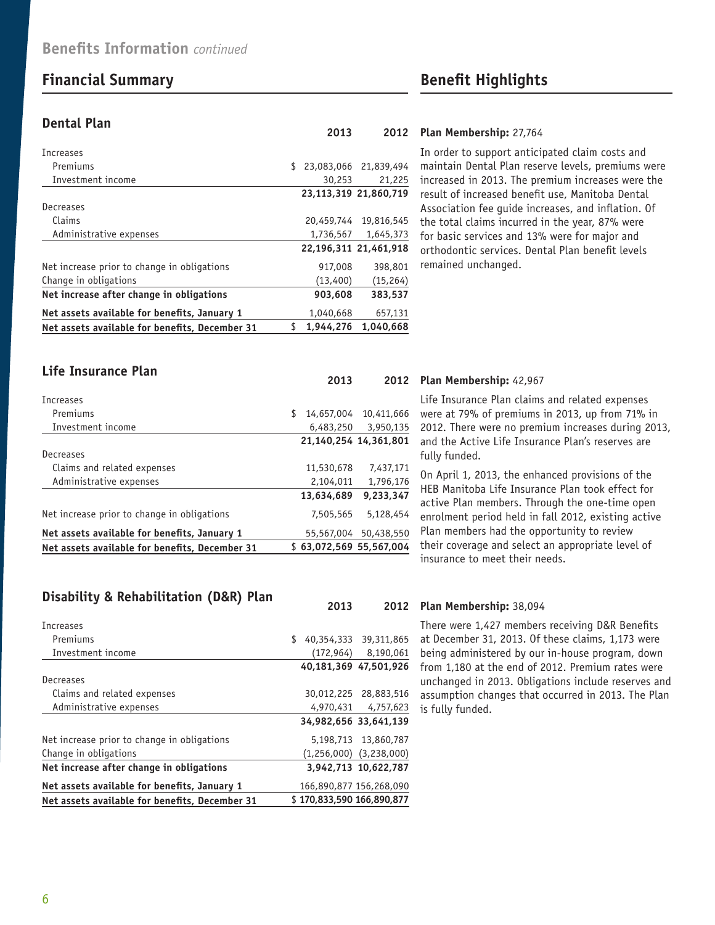## **Financial Summary Benefit Highlights**

**Life Insurance Plan**

#### **Dental Plan**

| Net assets available for benefits, December 31 | S  | 1.944.276 | 1.040.668             |
|------------------------------------------------|----|-----------|-----------------------|
| Net assets available for benefits, January 1   |    | 1,040,668 | 657,131               |
| Net increase after change in obligations       |    | 903,608   | 383,537               |
| Change in obligations                          |    | (13,400)  | (15, 264)             |
| Net increase prior to change in obligations    |    | 917,008   | 398,801               |
|                                                |    |           | 22.196.311 21.461.918 |
| Administrative expenses                        |    | 1,736,567 | 1,645,373             |
| Claims                                         |    |           | 20.459.744 19.816.545 |
| Decreases                                      |    |           |                       |
|                                                |    |           | 23.113.319 21.860.719 |
| Investment income                              |    | 30,253    | 21,225                |
| Premiums                                       | \$ |           | 23,083,066 21,839,494 |
| Increases                                      |    |           |                       |
|                                                |    |           |                       |

#### **Plan Membership:** 27,764 **2013 2012**

In order to support anticipated claim costs and maintain Dental Plan reserve levels, premiums were increased in 2013. The premium increases were the result of increased benefit use, Manitoba Dental Association fee guide increases, and inflation. Of the total claims incurred in the year, 87% were for basic services and 13% were for major and orthodontic services. Dental Plan benefit levels remained unchanged.

| LIIC IIISUIAIILE I LAII                        | 2013                    | 2012                  |
|------------------------------------------------|-------------------------|-----------------------|
| Increases                                      |                         |                       |
| Premiums                                       | \$                      | 14,657,004 10,411,666 |
| Investment income                              | 6,483,250               | 3,950,135             |
|                                                | 21,140,254 14,361,801   |                       |
| Decreases                                      |                         |                       |
| Claims and related expenses                    | 11,530,678              | 7,437,171             |
| Administrative expenses                        | 2,104,011               | 1,796,176             |
|                                                | 13,634,689              | 9.233.347             |
| Net increase prior to change in obligations    | 7,505,565               | 5,128,454             |
| Net assets available for benefits, January 1   |                         | 55,567,004 50,438,550 |
| Net assets available for benefits, December 31 | \$63.072.569 55.567.004 |                       |

### **Disability & Rehabilitation (D&R) Plan**

| Increases                                      |           |                                 |
|------------------------------------------------|-----------|---------------------------------|
| Premiums                                       | \$        | 40,354,333 39,311,865           |
| Investment income                              |           | $(172,964)$ 8,190,061           |
|                                                |           | 40,181,369 47,501,926           |
| Decreases                                      |           |                                 |
| Claims and related expenses                    |           | 30,012,225 28,883,516           |
| Administrative expenses                        | 4,970,431 | 4,757,623                       |
|                                                |           | 34,982,656 33,641,139           |
| Net increase prior to change in obligations    |           | 5,198,713 13,860,787            |
| Change in obligations                          |           | $(1, 256, 000)$ $(3, 238, 000)$ |
| Net increase after change in obligations       |           | 3.942.713 10.622.787            |
| Net assets available for benefits, January 1   |           | 166,890,877 156,268,090         |
| Net assets available for benefits, December 31 |           | \$170.833.590 166.890.877       |

#### **Plan Membership:** 42,967

Life Insurance Plan claims and related expenses were at 79% of premiums in 2013, up from 71% in 2012. There were no premium increases during 2013, and the Active Life Insurance Plan's reserves are fully funded.

On April 1, 2013, the enhanced provisions of the HEB Manitoba Life Insurance Plan took effect for active Plan members. Through the one-time open enrolment period held in fall 2012, existing active Plan members had the opportunity to review their coverage and select an appropriate level of insurance to meet their needs.

#### **Plan Membership:** 38,094 **2013 2012**

There were 1,427 members receiving D&R Benefits at December 31, 2013. Of these claims, 1,173 were being administered by our in-house program, down from 1,180 at the end of 2012. Premium rates were unchanged in 2013. Obligations include reserves and assumption changes that occurred in 2013. The Plan is fully funded.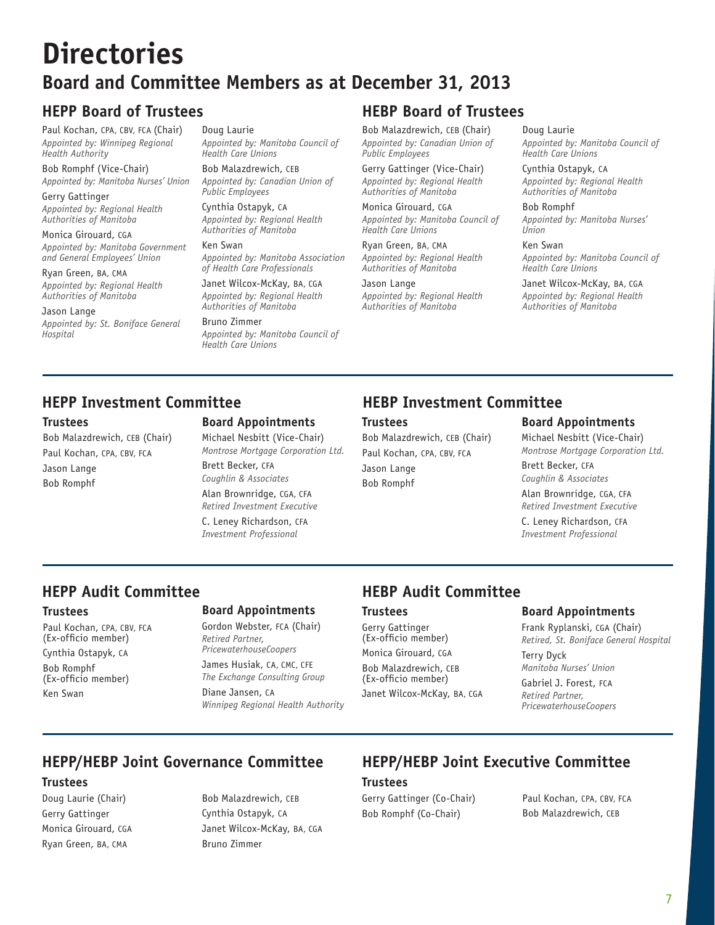# **Directories Board and Committee Members as at December 31, 2013**

Paul Kochan, CPA, CBV, FCA (Chair) *Appointed by: Winnipeg Regional Health Authority*

Bob Romphf (Vice-Chair) *Appointed by: Manitoba Nurses' Union*

Gerry Gattinger *Appointed by: Regional Health Authorities of Manitoba*

Monica Girouard, CGA *Appointed by: Manitoba Government and General Employees' Union*

Ryan Green, BA, CMA *Appointed by: Regional Health Authorities of Manitoba*

Jason Lange *Appointed by: St. Boniface General Hospital*

Doug Laurie *Appointed by: Manitoba Council of Health Care Unions*

Bob Malazdrewich, CEB *Appointed by: Canadian Union of Public Employees*

Cynthia Ostapyk, CA *Appointed by: Regional Health Authorities of Manitoba*

### Ken Swan

*Appointed by: Manitoba Association of Health Care Professionals*

Janet Wilcox-McKay, BA, CGA *Appointed by: Regional Health Authorities of Manitoba*

Bruno Zimmer *Appointed by: Manitoba Council of Health Care Unions*

# **HEPP Board of Trustees HEBP Board of Trustees**

Bob Malazdrewich, CEB (Chair) *Appointed by: Canadian Union of Public Employees*

Gerry Gattinger (Vice-Chair) *Appointed by: Regional Health Authorities of Manitoba*

Monica Girouard, CGA *Appointed by: Manitoba Council of Health Care Unions*

Ryan Green, BA, CMA *Authorities of Manitoba*

Jason Lange *Appointed by: Regional Health Authorities of Manitoba*

Doug Laurie *Appointed by: Manitoba Council of Health Care Unions*

Cynthia Ostapyk, CA *Appointed by: Regional Health Authorities of Manitoba*

Bob Romphf *Appointed by: Manitoba Nurses' Union*

Ken Swan *Appointed by: Manitoba Council of Health Care Unions*

Janet Wilcox-McKay, BA, CGA *Appointed by: Regional Health Authorities of Manitoba*

#### **Trustees**

Bob Malazdrewich, CEB (Chair) Paul Kochan, CPA, CBV, FCA Jason Lange Bob Romphf

## **Board Appointments**

Michael Nesbitt (Vice-Chair) *Montrose Mortgage Corporation Ltd.* Brett Becker, CFA *Coughlin & Associates* Alan Brownridge, CGA, CFA *Retired Investment Executive* C. Leney Richardson, CFA *Investment Professional*

# **HEPP Investment Committee HEBP Investment Committee**

**Trustees**

Bob Malazdrewich, CEB (Chair) Paul Kochan, CPA, CBV, FCA Jason Lange Bob Romphf

### **Board Appointments**

Michael Nesbitt (Vice-Chair) *Montrose Mortgage Corporation Ltd.* 

Brett Becker, CFA *Coughlin & Associates* Alan Brownridge, CGA, CFA *Retired Investment Executive*

C. Leney Richardson, CFA *Investment Professional*

#### **Trustees**

Paul Kochan, CPA, CBV, FCA (Ex-officio member) Cynthia Ostapyk, CA Bob Romphf (Ex-officio member) Ken Swan

### **Board Appointments**

Gordon Webster, FCA (Chair) *Retired Partner, PricewaterhouseCoopers*

James Husiak, CA, CMC, CFE *The Exchange Consulting Group* Diane Jansen, CA *Winnipeg Regional Health Authority*

# **HEPP Audit Committee HEBP Audit Committee**

#### **Trustees**

Gerry Gattinger (Ex-officio member) Monica Girouard, CGA Bob Malazdrewich, CEB (Ex-officio member) Janet Wilcox-McKay, BA, CGA

#### **Board Appointments**

Frank Ryplanski, CGA (Chair) *Retired, St. Boniface General Hospital* Terry Dyck *Manitoba Nurses' Union*

Gabriel J. Forest, FCA *Retired Partner, PricewaterhouseCoopers*

# **HEPP/HEBP Joint Governance Committee HEPP/HEBP Joint Executive Committee**

#### **Trustees**

Doug Laurie (Chair) Gerry Gattinger Monica Girouard, CGA Ryan Green, BA, CMA

Bob Malazdrewich, CEB Cynthia Ostapyk, CA Janet Wilcox-McKay, BA, CGA Bruno Zimmer

#### **Trustees**

Gerry Gattinger (Co-Chair) Bob Romphf (Co-Chair)

Paul Kochan, CPA, CBV, FCA Bob Malazdrewich, CEB

# *Appointed by: Regional Health*